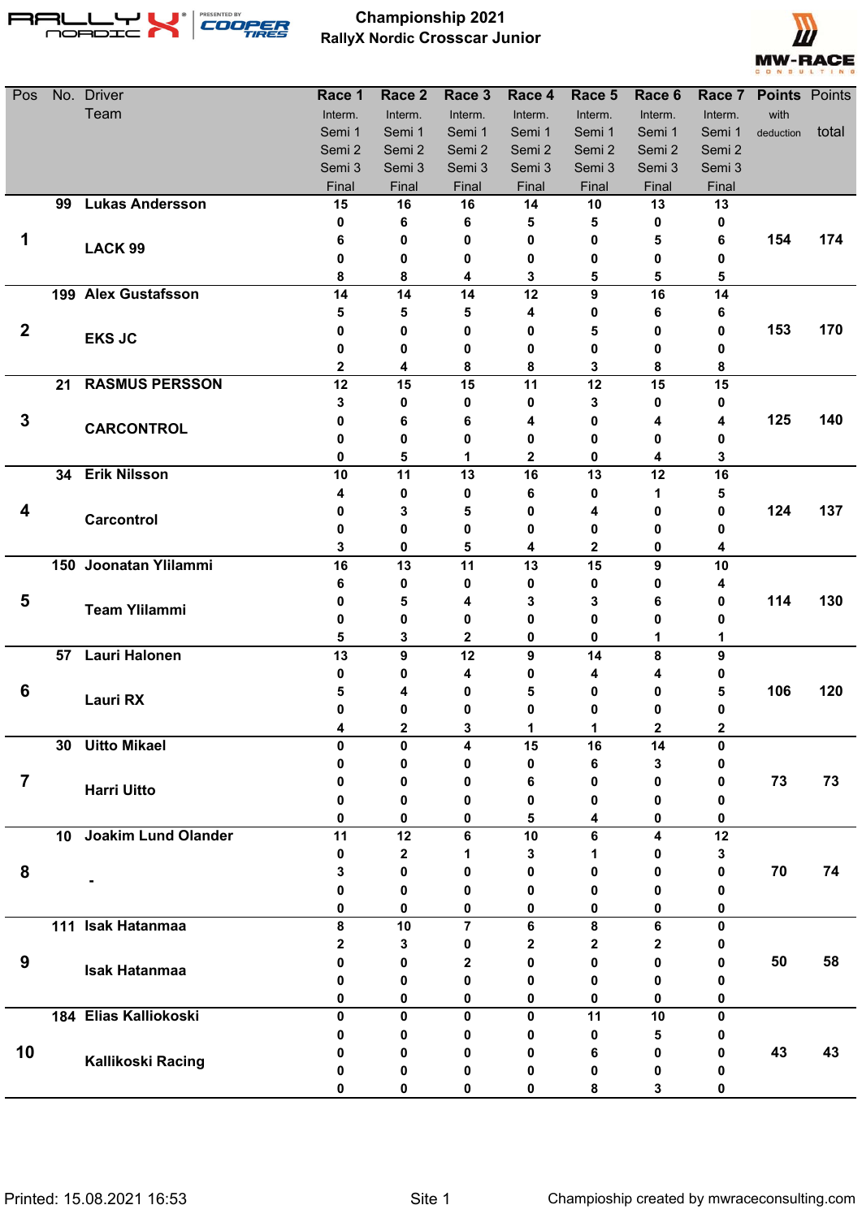

## **Championship 2021 RallyX Nordic Crosscar Junior**



| Pos              |    | No. Driver                 | Race 1       | Race 2  | Race 3         | Race 4  | Race 5  | Race 6  |              | Race 7 Points Points |       |
|------------------|----|----------------------------|--------------|---------|----------------|---------|---------|---------|--------------|----------------------|-------|
|                  |    | Team                       | Interm.      | Interm. | Interm.        | Interm. | Interm. | Interm. | Interm.      | with                 |       |
|                  |    |                            | Semi 1       | Semi 1  | Semi 1         | Semi 1  | Semi 1  | Semi 1  | Semi 1       | deduction            | total |
|                  |    |                            | Semi 2       | Semi 2  | Semi 2         | Semi 2  | Semi 2  | Semi 2  | Semi 2       |                      |       |
|                  |    |                            | Semi 3       | Semi 3  | Semi 3         | Semi 3  | Semi 3  | Semi 3  | Semi 3       |                      |       |
|                  |    |                            | Final        | Final   | Final          | Final   | Final   | Final   | Final        |                      |       |
|                  | 99 | <b>Lukas Andersson</b>     | 15           | 16      | 16             | 14      | 10      | 13      | 13           |                      |       |
|                  |    |                            | 0            | 6       | 6              | 5       | 5       | 0       | 0            |                      |       |
| 1                |    | LACK 99                    | 6            | 0       | 0              | 0       | 0       | 5       | 6            | 154                  | 174   |
|                  |    |                            | 0            | 0       | 0              | 0       | 0       | 0       | 0            |                      |       |
|                  |    | 199 Alex Gustafsson        | 8<br>14      | 8<br>14 | 4<br>14        | 3<br>12 | 5<br>9  | 5<br>16 | 5<br>14      |                      |       |
|                  |    |                            | 5            | 5       | 5              | 4       | 0       | 6       | 6            |                      |       |
| $\boldsymbol{2}$ |    |                            | 0            | 0       | 0              | 0       | 5       | 0       | 0            | 153                  | 170   |
|                  |    | <b>EKS JC</b>              | 0            | 0       | 0              | 0       | 0       | 0       | 0            |                      |       |
|                  |    |                            | $\mathbf{2}$ | 4       | 8              | 8       | 3       | 8       | 8            |                      |       |
|                  | 21 | <b>RASMUS PERSSON</b>      | 12           | 15      | 15             | 11      | 12      | 15      | 15           |                      |       |
|                  |    |                            | 3            | 0       | 0              | 0       | 3       | 0       | 0            |                      |       |
| $\mathbf{3}$     |    |                            | 0            | 6       | 6              | 4       | 0       | 4       | 4            | 125                  | 140   |
|                  |    | <b>CARCONTROL</b>          | 0            | 0       | 0              | 0       | 0       | 0       | 0            |                      |       |
|                  |    |                            | 0            | 5       | 1              | 2       | 0       | 4       | 3            |                      |       |
|                  |    | 34 Erik Nilsson            | 10           | 11      | 13             | 16      | 13      | 12      | 16           |                      |       |
|                  |    |                            | 4            | 0       | 0              | 6       | 0       | 1       | 5            |                      |       |
| 4                |    |                            | 0            | 3       | 5              | 0       | 4       | 0       | 0            | 124                  | 137   |
|                  |    | Carcontrol                 | 0            | 0       | 0              | 0       | 0       | 0       | 0            |                      |       |
|                  |    |                            | 3            | 0       | 5              | 4       | 2       | 0       | 4            |                      |       |
|                  |    | 150 Joonatan Ylilammi      | 16           | 13      | 11             | 13      | 15      | 9       | 10           |                      |       |
|                  |    |                            | 6            | 0       | 0              | 0       | 0       | 0       | 4            |                      |       |
| 5                |    | <b>Team Ylilammi</b>       | 0            | 5       | 4              | 3       | 3       | 6       | 0            | 114                  | 130   |
|                  |    |                            | 0            | 0       | 0              | 0       | 0       | 0       | 0            |                      |       |
|                  |    |                            | 5            | 3       | 2              | 0       | 0       | 1       | 1            |                      |       |
|                  | 57 | <b>Lauri Halonen</b>       | 13           | 9       | 12             | 9       | 14      | 8       | 9            |                      |       |
|                  |    |                            | 0            | 0       | 4              | 0       | 4       | 4       | o            |                      |       |
| 6                |    | <b>Lauri RX</b>            | 5            | 4       |                | 5       | 0       | 0       | 5            | 106                  | 120   |
|                  |    |                            | 0            | 0       | 0              | 0       | 0       | 0       | o            |                      |       |
|                  |    |                            | 4            | 2       | 3              |         |         | 2       |              |                      |       |
|                  | 30 | <b>Uitto Mikael</b>        | $\mathbf{0}$ | 0       | 4              | 15      | 16      | 14      | 0            |                      |       |
|                  |    |                            | 0            | 0       | 0              | 0       | 6       | 3       | 0            |                      |       |
| $\overline{7}$   |    | <b>Harri Uitto</b>         | 0            | 0       | 0              | 6       | 0       | 0       | 0            | 73                   | 73    |
|                  |    |                            | 0<br>0       | 0<br>0  | 0<br>0         | 0<br>5  | 0<br>4  | 0<br>0  | 0<br>0       |                      |       |
|                  | 10 | <b>Joakim Lund Olander</b> | 11           | 12      | 6              | 10      | 6       | 4       | 12           |                      |       |
|                  |    |                            | 0            | 2       | 1              | 3       |         | 0       | 3            |                      |       |
| 8                |    |                            | 3            | 0       | 0              | 0       | 0       | 0       | 0            | 70                   | 74    |
|                  |    |                            | 0            | 0       | 0              | 0       | 0       | 0       | 0            |                      |       |
|                  |    |                            | 0            | 0       | 0              | 0       | 0       | 0       | 0            |                      |       |
|                  |    | 111 Isak Hatanmaa          | 8            | 10      | $\overline{7}$ | 6       | 8       | 6       | $\mathbf{0}$ |                      |       |
|                  |    |                            | $\mathbf{2}$ | 3       | 0              | 2       | 2       | 2       | 0            |                      |       |
| 9                |    |                            | 0            | 0       | 2              | 0       | 0       | 0       | 0            | 50                   | 58    |
|                  |    | <b>Isak Hatanmaa</b>       | 0            | 0       | 0              | 0       | 0       | 0       | 0            |                      |       |
|                  |    |                            | 0            | 0       | 0              | 0       | 0       | 0       | 0            |                      |       |
|                  |    | 184 Elias Kalliokoski      | $\mathbf{0}$ | 0       | 0              | 0       | 11      | 10      | 0            |                      |       |
|                  |    |                            | 0            | 0       |                | 0       | 0       | 5       |              |                      |       |
| 10               |    |                            | 0            | 0       | 0              | 0       | 6       | 0       | 0            | 43                   | 43    |
|                  |    | Kallikoski Racing          | 0            | 0       | 0              | 0       | 0       | 0       | 0            |                      |       |
|                  |    |                            | 0            | 0       | 0              | 0       | 8       | 3       | 0            |                      |       |
|                  |    |                            |              |         |                |         |         |         |              |                      |       |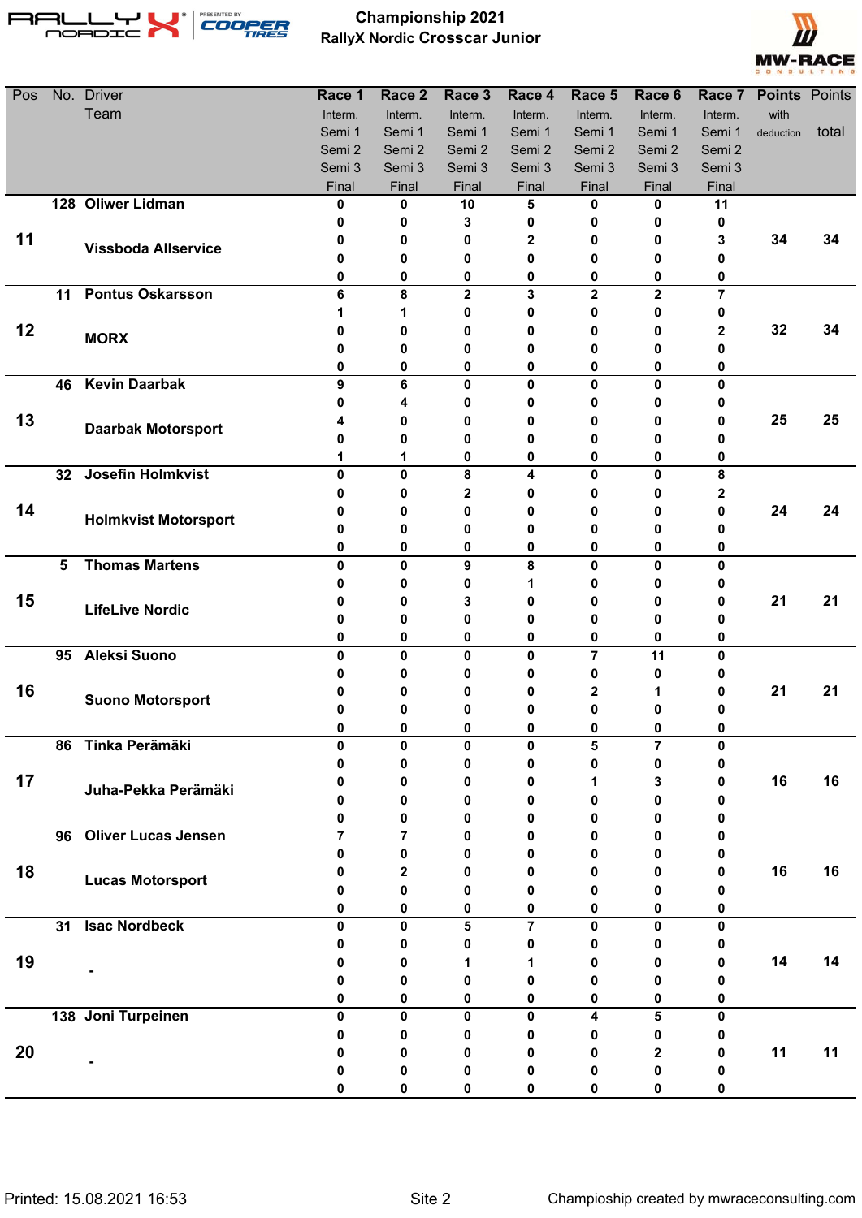

## **Championship 2021 RallyX Nordic Crosscar Junior**



| Pos |                 | No. Driver                  | Race 1         | Race 2         | Race 3            | Race 4                  | Race 5           | Race 6           |                     | Race 7 Points Points |       |
|-----|-----------------|-----------------------------|----------------|----------------|-------------------|-------------------------|------------------|------------------|---------------------|----------------------|-------|
|     |                 | Team                        | Interm.        | Interm.        | Interm.           | Interm.                 | Interm.          | Interm.          | Interm.             | with                 |       |
|     |                 |                             | Semi 1         | Semi 1         | Semi 1            | Semi 1                  | Semi 1           | Semi 1           | Semi 1              | deduction            | total |
|     |                 |                             | Semi 2         | Semi 2         | Semi 2            | Semi 2                  | Semi 2           | Semi 2           | Semi 2              |                      |       |
|     |                 |                             | Semi 3         | Semi 3         | Semi 3            | Semi 3                  | Semi 3           | Semi 3           | Semi 3              |                      |       |
|     |                 |                             | Final          | Final          | Final             | Final                   | Final            | Final            | Final               |                      |       |
|     |                 | 128 Oliwer Lidman           | 0              | 0              | 10                | 5                       | 0                | 0                | 11                  |                      |       |
|     |                 |                             | 0              | 0              | 3                 | 0                       | 0                | 0                | 0                   |                      |       |
| 11  |                 | <b>Vissboda Allservice</b>  | 0              | 0              | 0                 | $\mathbf{2}$            | 0                | 0                | 3                   | 34                   | 34    |
|     |                 |                             | 0              | 0              | 0                 | 0                       | 0                | 0                |                     |                      |       |
|     | 11              | <b>Pontus Oskarsson</b>     | 0<br>6         | 0<br>8         | 0<br>$\mathbf{2}$ | 0<br>3                  | 0<br>$\mathbf 2$ | 0<br>$\mathbf 2$ | 0<br>$\overline{7}$ |                      |       |
|     |                 |                             |                | 1              | 0                 | 0                       | 0                | 0                | 0                   |                      |       |
| 12  |                 |                             | 0              | 0              | 0                 | 0                       | 0                | 0                | 2                   | 32                   | 34    |
|     |                 | <b>MORX</b>                 | 0              | 0              | 0                 | 0                       | 0                | 0                | 0                   |                      |       |
|     |                 |                             | 0              | 0              | 0                 | 0                       | 0                | 0                | 0                   |                      |       |
|     | 46              | <b>Kevin Daarbak</b>        | 9              | 6              | 0                 | $\mathbf 0$             | $\mathbf{0}$     | 0                | $\mathbf{0}$        |                      |       |
|     |                 |                             | 0              | 4              | 0                 | 0                       | 0                | 0                | o                   |                      |       |
| 13  |                 |                             | 4              | 0              | 0                 | 0                       | 0                | 0                | 0                   | 25                   | 25    |
|     |                 | <b>Daarbak Motorsport</b>   | Ω              | 0              | 0                 | 0                       | 0                | 0                | 0                   |                      |       |
|     |                 |                             |                | 1              | 0                 | 0                       | 0                | 0                | 0                   |                      |       |
|     | 32 <sub>2</sub> | Josefin Holmkvist           | $\mathbf{0}$   | $\mathbf{0}$   | 8                 | 4                       | 0                | $\mathbf 0$      | 8                   |                      |       |
|     |                 |                             | 0              | 0              | $\mathbf{2}$      | 0                       | 0                | 0                | 2                   |                      |       |
| 14  |                 | <b>Holmkvist Motorsport</b> | 0              | 0              | 0                 | 0                       | 0                | 0                | 0                   | 24                   | 24    |
|     |                 |                             | 0              | 0              | 0                 | 0                       | 0                | 0                | 0                   |                      |       |
|     |                 |                             | 0              | 0              | 0                 | 0                       | 0                | 0                | 0                   |                      |       |
|     | 5               | <b>Thomas Martens</b>       | $\mathbf{0}$   | $\mathbf{0}$   | 9                 | 8                       | $\bf{0}$         | $\mathbf{0}$     | 0                   |                      |       |
|     |                 |                             | 0              | 0              | 0                 | 1                       | 0                | 0                | 0                   |                      |       |
| 15  |                 | <b>LifeLive Nordic</b>      | 0              | 0              | 3                 | 0                       | 0                | 0                | 0                   | 21                   | 21    |
|     |                 |                             | 0              | 0              | 0                 | 0                       | 0                | 0                | 0                   |                      |       |
|     |                 |                             | 0              | 0              | 0                 | 0                       | 0                | 0                | 0                   |                      |       |
|     | 95              | <b>Aleksi Suono</b>         | $\mathbf{0}$   | 0              | $\mathbf{0}$      | 0                       | $\overline{7}$   | 11               | $\mathbf{0}$        |                      |       |
| 16  |                 |                             | O              | 0              | 0                 | 0                       | 0                | 0                |                     | 21                   | 21    |
|     |                 | <b>Suono Motorsport</b>     | O              | 0              |                   | 0                       | 2                | 1                | o                   |                      |       |
|     |                 |                             | U              | 0<br>0         |                   | 0                       | 0<br>ŋ           | 0<br>0           |                     |                      |       |
|     | 86              | Tinka Perämäki              | $\mathbf{0}$   | 0              | $\mathbf{0}$      | 0                       | 5                | $\overline{7}$   | $\mathbf{0}$        |                      |       |
|     |                 |                             | 0              | 0              | 0                 | 0                       | 0                | 0                | 0                   |                      |       |
| 17  |                 |                             | 0              | 0              | 0                 | 0                       |                  | 3                | 0                   | 16                   | 16    |
|     |                 | Juha-Pekka Perämäki         | 0              | 0              | 0                 | 0                       | 0                | 0                | 0                   |                      |       |
|     |                 |                             | 0              | 0              | 0                 | 0                       | 0                | 0                | 0                   |                      |       |
|     |                 | 96 Oliver Lucas Jensen      | $\overline{7}$ | $\overline{7}$ | 0                 | 0                       | $\pmb{0}$        | $\mathbf 0$      | $\mathbf{0}$        |                      |       |
|     |                 |                             | 0              | 0              | 0                 | 0                       | 0                | 0                | 0                   |                      |       |
| 18  |                 |                             | 0              | 2              | 0                 | 0                       | 0                | 0                | 0                   | 16                   | 16    |
|     |                 | <b>Lucas Motorsport</b>     | Ω              | 0              | 0                 | 0                       | 0                | 0                | o                   |                      |       |
|     |                 |                             | 0              | 0              | 0                 | 0                       | 0                | 0                | 0                   |                      |       |
|     | 31              | <b>Isac Nordbeck</b>        | $\mathbf{0}$   | 0              | 5                 | $\overline{\mathbf{r}}$ | $\mathbf 0$      | 0                | $\mathbf{0}$        |                      |       |
|     |                 |                             | 0              | 0              | 0                 | 0                       | 0                | 0                | 0                   |                      |       |
| 19  |                 |                             | 0              | 0              | 1                 | 1                       | 0                | 0                | 0                   | 14                   | 14    |
|     |                 |                             | 0              | 0              | 0                 | 0                       | 0                | 0                | 0                   |                      |       |
|     |                 |                             | 0              | 0              | 0                 | 0                       | 0                | 0                | 0                   |                      |       |
|     |                 | 138 Joni Turpeinen          | $\mathbf{0}$   | 0              | $\mathbf{0}$      | $\mathbf{0}$            | 4                | 5                | $\mathbf{0}$        |                      |       |
|     |                 |                             | 0              | 0              | 0                 | 0                       | 0                | 0                | 0                   |                      |       |
| 20  |                 |                             | 0              | 0              | 0                 | 0                       | 0                | $\mathbf 2$      | 0                   | 11                   | 11    |
|     |                 |                             | 0              | 0              | 0                 | 0                       | 0                | 0                | 0                   |                      |       |
|     |                 |                             | 0              | 0              | 0                 | 0                       | 0                | 0                | 0                   |                      |       |